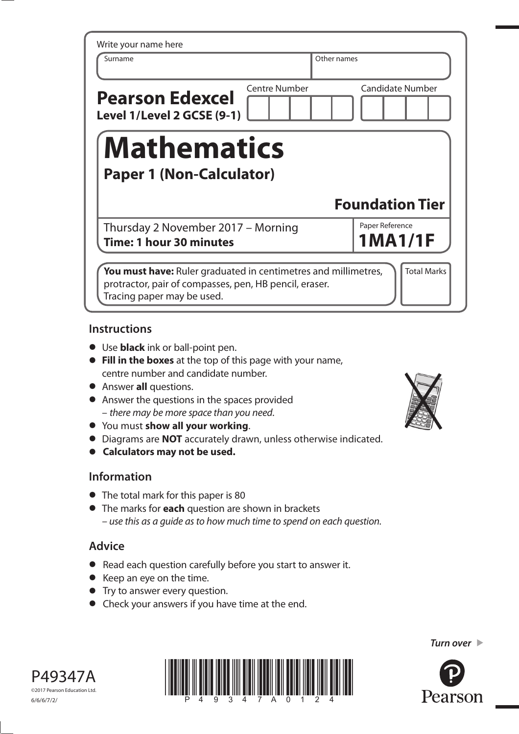| Write your name here                                          |                      |                                   |
|---------------------------------------------------------------|----------------------|-----------------------------------|
| Surname                                                       |                      | Other names                       |
| <b>Pearson Edexcel</b><br>Level 1/Level 2 GCSE (9-1)          | <b>Centre Number</b> | <b>Candidate Number</b>           |
| <b>Mathematics</b>                                            |                      |                                   |
| <b>Paper 1 (Non-Calculator)</b>                               |                      |                                   |
|                                                               |                      | <b>Foundation Tier</b>            |
| Thursday 2 November 2017 - Morning<br>Time: 1 hour 30 minutes |                      | Paper Reference<br><b>1MA1/1F</b> |

## **Instructions**

- **•** Use **black** ink or ball-point pen.
- **• Fill in the boxes** at the top of this page with your name, centre number and candidate number.
- **•** Answer **all** questions.
- **•** Answer the questions in the spaces provided – there may be more space than you need.
- **•** You must **show all your working**.
- **•** Diagrams are **NOT** accurately drawn, unless otherwise indicated.
- **• Calculators may not be used.**

## **Information**

- **•** The total mark for this paper is 80
- **•** The marks for **each** question are shown in brackets – use this as a guide as to how much time to spend on each question.

# **Advice**

- **•** Read each question carefully before you start to answer it.
- **•** Keep an eye on the time.
- **•** Try to answer every question.
- **•** Check your answers if you have time at the end.









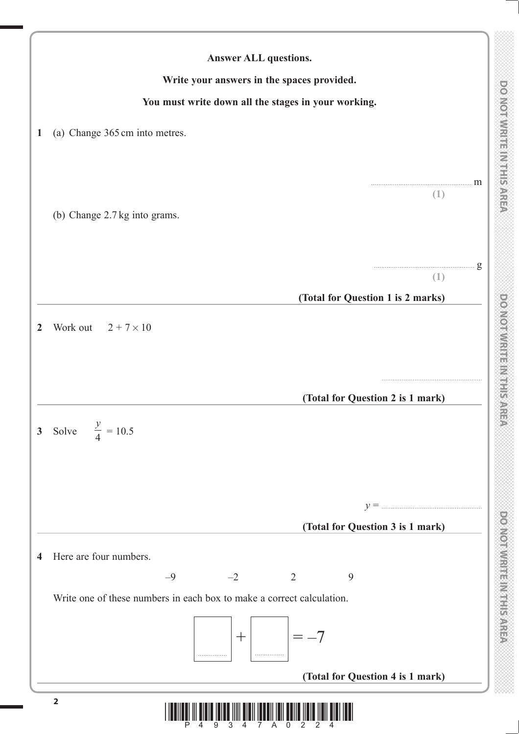| <b>Answer ALL questions.</b>                                          |  |
|-----------------------------------------------------------------------|--|
| Write your answers in the spaces provided.                            |  |
| You must write down all the stages in your working.                   |  |
| (a) Change 365 cm into metres.<br>1                                   |  |
|                                                                       |  |
| (1)                                                                   |  |
| (b) Change 2.7 kg into grams.                                         |  |
|                                                                       |  |
| (1)                                                                   |  |
| (Total for Question 1 is 2 marks)                                     |  |
| Work out $2 + 7 \times 10$<br>$\mathbf{2}$                            |  |
|                                                                       |  |
| (Total for Question 2 is 1 mark)                                      |  |
| $\frac{y}{4}$ = 10.5<br>Solve<br>$\mathbf{3}$                         |  |
|                                                                       |  |
|                                                                       |  |
|                                                                       |  |
| (Total for Question 3 is 1 mark)                                      |  |
| Here are four numbers.<br>4                                           |  |
| $-2$<br>$\overline{2}$<br>$-9$<br>9                                   |  |
| Write one of these numbers in each box to make a correct calculation. |  |
| $=-7$<br>$^{+}$                                                       |  |
|                                                                       |  |
| (Total for Question 4 is 1 mark)                                      |  |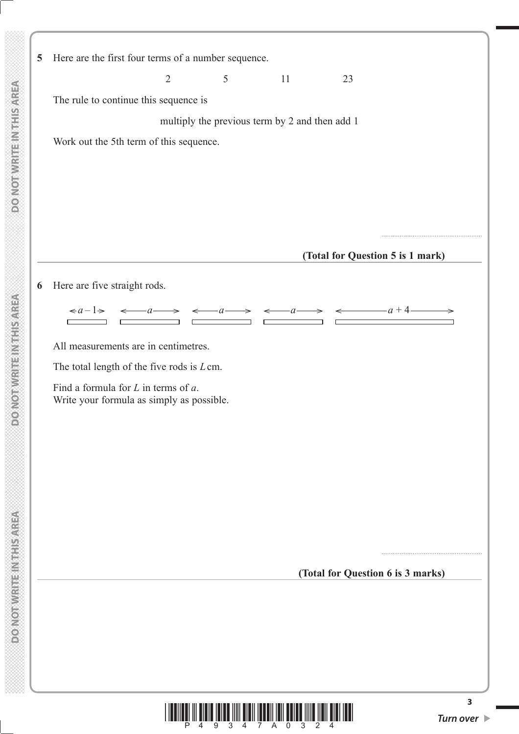|                              | $\overline{2}$                                                                        | 5                                              | 11                    | 23                                      |  |
|------------------------------|---------------------------------------------------------------------------------------|------------------------------------------------|-----------------------|-----------------------------------------|--|
|                              | The rule to continue this sequence is                                                 |                                                |                       |                                         |  |
|                              |                                                                                       | multiply the previous term by 2 and then add 1 |                       |                                         |  |
|                              | Work out the 5th term of this sequence.                                               |                                                |                       |                                         |  |
|                              |                                                                                       |                                                |                       |                                         |  |
|                              |                                                                                       |                                                |                       |                                         |  |
|                              |                                                                                       |                                                |                       |                                         |  |
|                              |                                                                                       |                                                |                       |                                         |  |
|                              |                                                                                       |                                                |                       |                                         |  |
|                              |                                                                                       |                                                |                       | (Total for Question 5 is 1 mark)        |  |
| Here are five straight rods. |                                                                                       |                                                |                       |                                         |  |
| $\leq a-1\geq$               | $-a-$<br>$\Leftarrow$<br>⇐                                                            | $-a-$<br>→                                     | $-a-$<br>$\leftarrow$ | $\longleftarrow$ a + 4 $\longleftarrow$ |  |
|                              |                                                                                       |                                                |                       |                                         |  |
|                              | All measurements are in centimetres.                                                  |                                                |                       |                                         |  |
|                              | The total length of the five rods is $L$ cm.                                          |                                                |                       |                                         |  |
|                              | Find a formula for $L$ in terms of $a$ .<br>Write your formula as simply as possible. |                                                |                       |                                         |  |
|                              |                                                                                       |                                                |                       |                                         |  |
|                              |                                                                                       |                                                |                       |                                         |  |
|                              |                                                                                       |                                                |                       |                                         |  |
|                              |                                                                                       |                                                |                       |                                         |  |
|                              |                                                                                       |                                                |                       |                                         |  |
|                              |                                                                                       |                                                |                       |                                         |  |
|                              |                                                                                       |                                                |                       |                                         |  |
|                              |                                                                                       |                                                |                       |                                         |  |
|                              |                                                                                       |                                                |                       | (Total for Question 6 is 3 marks)       |  |
|                              |                                                                                       |                                                |                       |                                         |  |
|                              |                                                                                       |                                                |                       |                                         |  |
|                              |                                                                                       |                                                |                       |                                         |  |

**3**

**DONOTWRITE INTHIS AREA** 

**DO NOT WRITE IN THIS AREA**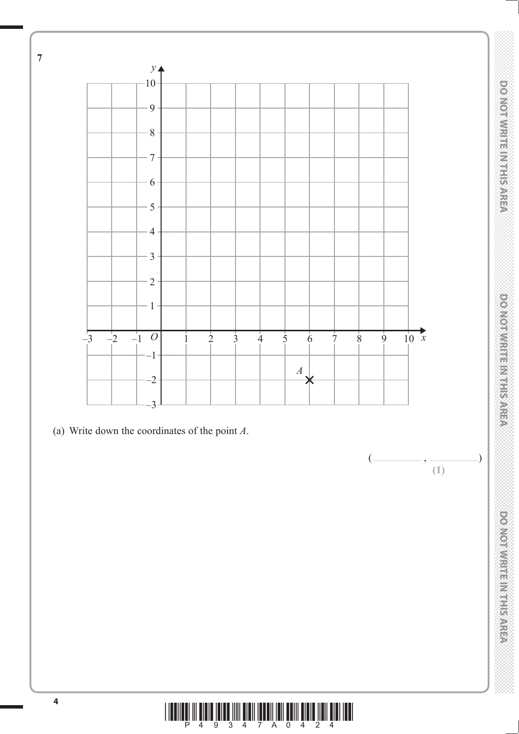

(a) Write down the coordinates of the point *A*.

( .......................... , ..........................) **(1)**



**DOMOTIVISTIE INTERNATION** 

DO NOTWRITE IN THIS AREA

 $\begin{array}{c} \hbox{||||} \hbox{||} \hbox{||} \hbox{||} \hbox{||} \hbox{||} \hbox{||} \hbox{||} \hbox{||} \hbox{||} \hbox{||} \hbox{||} \hbox{||} \hbox{||} \hbox{||} \hbox{||} \hbox{||} \hbox{||} \hbox{||} \hbox{||} \hbox{||} \hbox{||} \hbox{||} \hbox{||} \hbox{||} \hbox{||} \hbox{||} \hbox{||} \hbox{||} \hbox{||} \hbox{||} \hbox{||} \hbox{||} \hbox{||} \hbox{||} \h$ 

**7**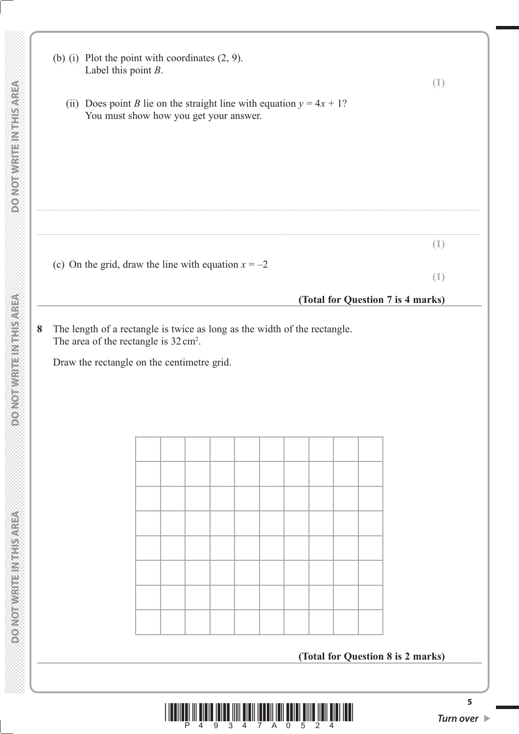**DONOT WRITEIN THIS AREA** 

**DONOTWRITEIN THIS AREA** 

|   | (b) (i) Plot the point with coordinates $(2, 9)$ .<br>Label this point $B$ .                                                  |                                        |  |  | (1)                                      |
|---|-------------------------------------------------------------------------------------------------------------------------------|----------------------------------------|--|--|------------------------------------------|
|   | (ii) Does point <i>B</i> lie on the straight line with equation $y = 4x + 1$ ?                                                | You must show how you get your answer. |  |  |                                          |
|   |                                                                                                                               |                                        |  |  |                                          |
|   |                                                                                                                               |                                        |  |  |                                          |
|   |                                                                                                                               |                                        |  |  |                                          |
|   | (c) On the grid, draw the line with equation $x = -2$                                                                         |                                        |  |  | (1)                                      |
|   |                                                                                                                               |                                        |  |  | (1)<br>(Total for Question 7 is 4 marks) |
| 8 | The length of a rectangle is twice as long as the width of the rectangle.<br>The area of the rectangle is $32 \text{ cm}^2$ . |                                        |  |  |                                          |
|   | Draw the rectangle on the centimetre grid.                                                                                    |                                        |  |  |                                          |
|   |                                                                                                                               |                                        |  |  |                                          |
|   |                                                                                                                               |                                        |  |  |                                          |
|   |                                                                                                                               |                                        |  |  |                                          |
|   |                                                                                                                               |                                        |  |  |                                          |
|   |                                                                                                                               |                                        |  |  |                                          |
|   |                                                                                                                               |                                        |  |  |                                          |
|   |                                                                                                                               |                                        |  |  |                                          |
|   |                                                                                                                               |                                        |  |  |                                          |
|   |                                                                                                                               |                                        |  |  |                                          |
|   |                                                                                                                               |                                        |  |  | (Total for Question 8 is 2 marks)        |
|   |                                                                                                                               |                                        |  |  |                                          |

**5**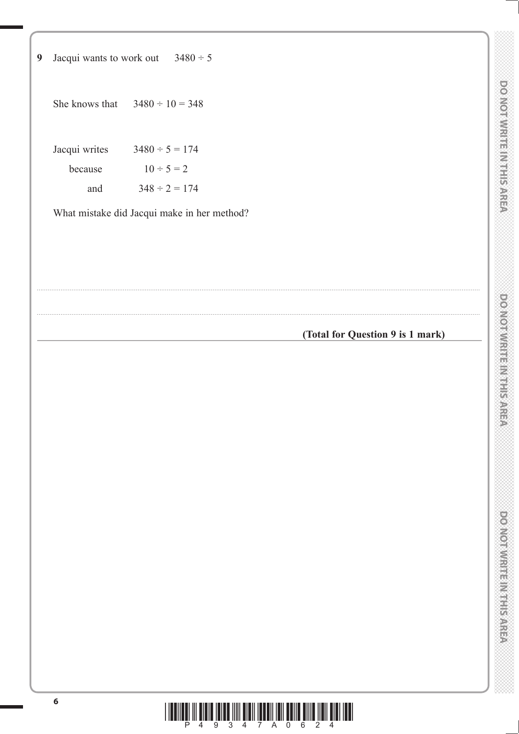| $3480 \div 5$<br>Jacqui wants to work out   |                                  |  |
|---------------------------------------------|----------------------------------|--|
| She knows that $3480 \div 10 = 348$         |                                  |  |
| Jacqui writes<br>$3480 \div 5 = 174$        |                                  |  |
| $10 \div 5 = 2$<br>because                  |                                  |  |
| $348 \div 2 = 174$<br>and                   |                                  |  |
| What mistake did Jacqui make in her method? |                                  |  |
|                                             |                                  |  |
|                                             |                                  |  |
|                                             |                                  |  |
|                                             | (Total for Question 9 is 1 mark) |  |
|                                             |                                  |  |
|                                             |                                  |  |
|                                             |                                  |  |
|                                             |                                  |  |
|                                             |                                  |  |
|                                             |                                  |  |
|                                             |                                  |  |
|                                             |                                  |  |
|                                             |                                  |  |
|                                             |                                  |  |
|                                             |                                  |  |
|                                             |                                  |  |
|                                             |                                  |  |
|                                             |                                  |  |
|                                             |                                  |  |
|                                             |                                  |  |

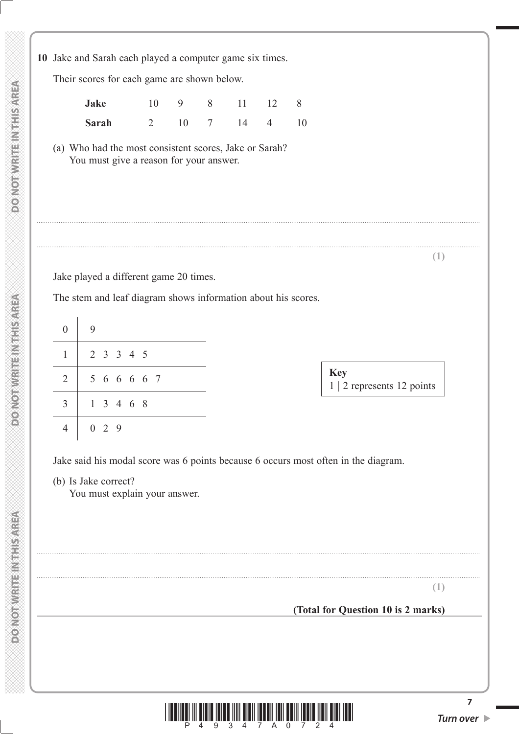

\*P49347A0724\* *Turn over*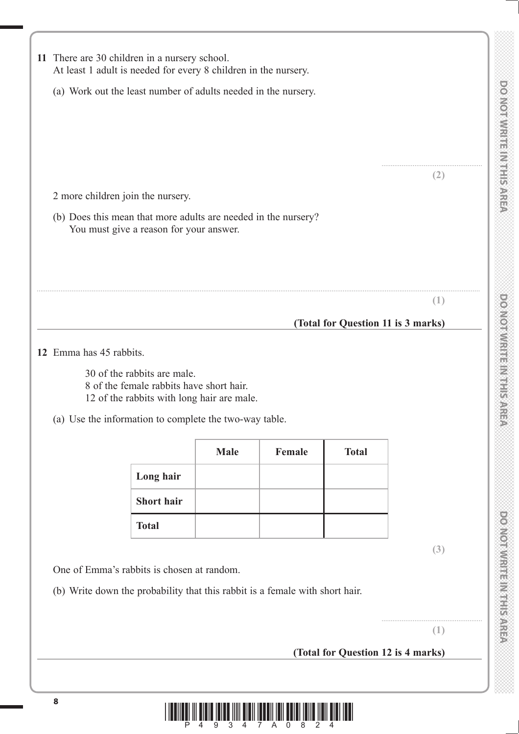|                         | (a) Work out the least number of adults needed in the nursery.                                                                                   |             |        |                                    |           |
|-------------------------|--------------------------------------------------------------------------------------------------------------------------------------------------|-------------|--------|------------------------------------|-----------|
|                         |                                                                                                                                                  |             |        |                                    |           |
|                         |                                                                                                                                                  |             |        |                                    | $(\angle$ |
|                         | 2 more children join the nursery.<br>(b) Does this mean that more adults are needed in the nursery?<br>You must give a reason for your answer.   |             |        |                                    |           |
|                         |                                                                                                                                                  |             |        |                                    | (1)       |
|                         |                                                                                                                                                  |             |        |                                    |           |
|                         | 30 of the rabbits are male.                                                                                                                      |             |        | (Total for Question 11 is 3 marks) |           |
|                         | 8 of the female rabbits have short hair.<br>12 of the rabbits with long hair are male.<br>(a) Use the information to complete the two-way table. |             |        |                                    |           |
|                         |                                                                                                                                                  | <b>Male</b> | Female | <b>Total</b>                       |           |
|                         | Long hair                                                                                                                                        |             |        |                                    |           |
|                         | Short hair<br><b>Total</b>                                                                                                                       |             |        |                                    |           |
| 12 Emma has 45 rabbits. | One of Emma's rabbits is chosen at random.<br>(b) Write down the probability that this rabbit is a female with short hair.                       |             |        |                                    | (3)       |
|                         |                                                                                                                                                  |             |        |                                    | (1)       |

 $\begin{array}{c} \hbox{~~\bf 2.411cm} \hbox{~~\bf 3.411cm} \hbox{~~\bf 4.411cm} \hbox{~~\bf 5.411cm} \hbox{~~\bf 6.411cm} \hbox{~~\bf 7.411cm} \hbox{~~\bf 8.411cm} \hbox{~~\bf 9.411cm} \hbox{~~\bf 1.411cm} \hbox{~~\bf 1.411cm} \hbox{~~\bf 1.411cm} \hbox{~~\bf 1.411cm} \hbox{~~\bf 1.411cm} \hbox{~~\bf 1.411cm} \hbox$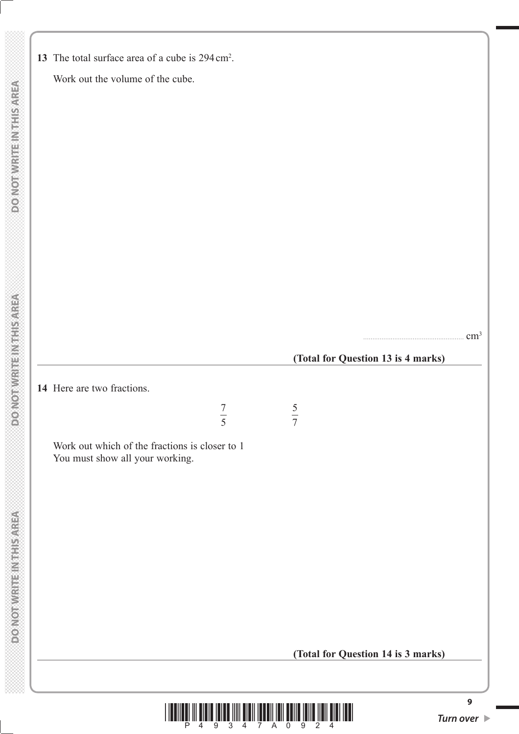- **DO NOT WRITE IN THIS AREA**
- **DO NOT WRITE IN THIS AREA DO NOT WRITE A DO NOT WRITE IN THIS AREA DO NOT WRITE A DONOT WRITE IN THIS AREA**
- **DONOTWRITEINTHIS AREA**

**13** The total surface area of a cube is 294 cm2 .

Work out the volume of the cube.

 $cm<sup>3</sup>$ 

#### **(Total for Question 13 is 4 marks)**

**14** Here are two fractions.

| 7 | 5 |
|---|---|
| 5 | 1 |

 Work out which of the fractions is closer to 1 You must show all your working.

**(Total for Question 14 is 3 marks)**

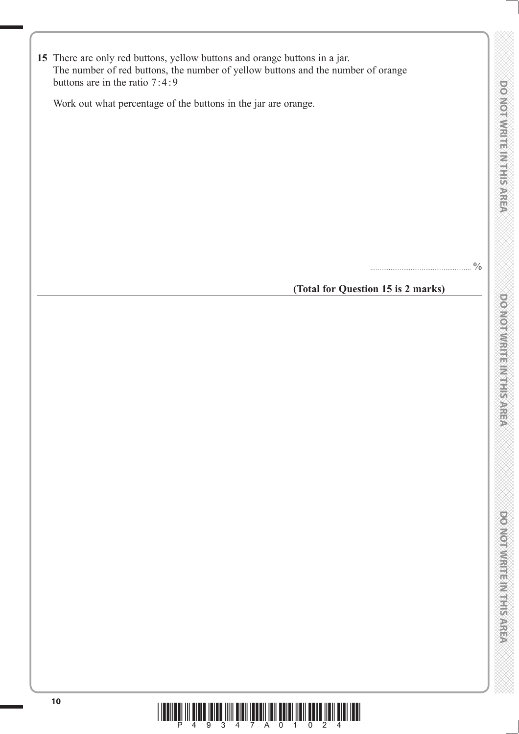| 15 There are only red buttons, yellow buttons and orange buttons in a jar.       |
|----------------------------------------------------------------------------------|
| The number of red buttons, the number of yellow buttons and the number of orange |
| buttons are in the ratio $7:4:9$                                                 |

Work out what percentage of the buttons in the jar are orange.

**(Total for Question 15 is 2 marks)**

*DO NOT WRITE IN THIS AREA DO NOT WRITE IN THIS AREA DO NOT WRITE IN THIS AREA DO NOT WRITE IN THIS AREA DO NOT WRITE IN THIS AREA DO NOT WRITE IN THIS AREA DO NOT WRITE IN THIS AREA DO NOT WRITE IN THIS AREA DO NOT WRITE* 

**DOMOTIVICE INTERNATIONAL** 

**DONOTWRITE MITHSAREA** 

DO NOT WRITE IN THIS AREA

 $.9/0$ 

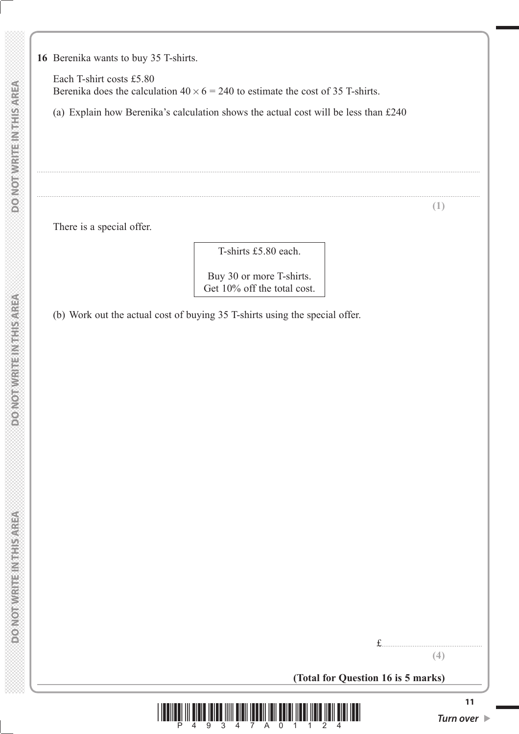**16** Berenika wants to buy 35 T-shirts.

 Each T-shirt costs £5.80 Berenika does the calculation  $40 \times 6 = 240$  to estimate the cost of 35 T-shirts.

(a) Explain how Berenika's calculation shows the actual cost will be less than £240

**(1)**

There is a special offer.

T-shirts £5.80 each.

..................................................................................................................................................................................................................................................

..................................................................................................................................................................................................................................................

Buy 30 or more T-shirts. Get 10% off the total cost.

(b) Work out the actual cost of buying 35 T-shirts using the special offer.

£.......................................................

**(Total for Question 16 is 5 marks)**



**(4)**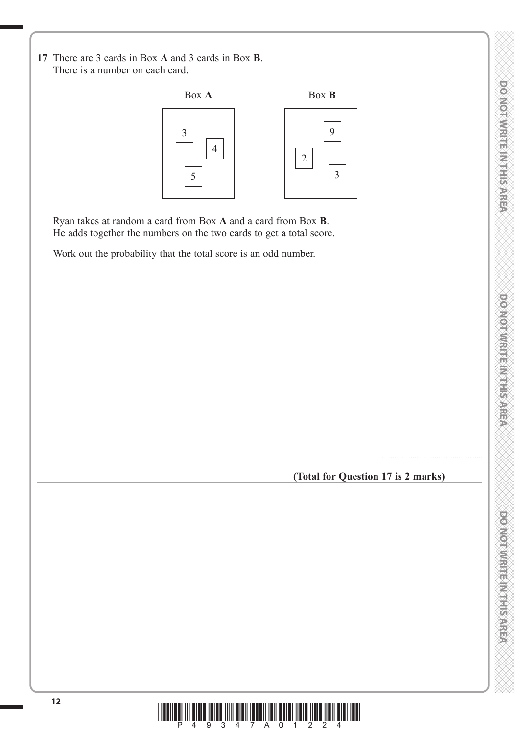

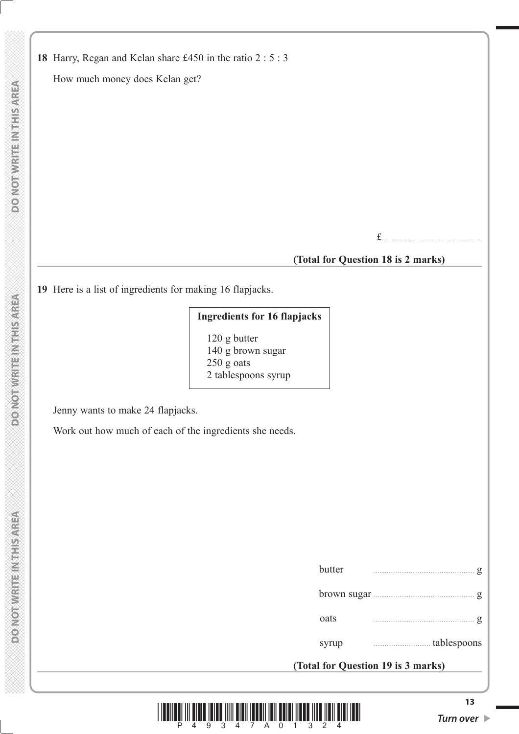How much money does Kelan get?

**(Total for Question 18 is 2 marks)**

£.......................................................

**19** Here is a list of ingredients for making 16 flapjacks.

## **Ingredients for 16 flapjacks**

120 g butter 140 g brown sugar 250 g oats 2 tablespoons syrup

Jenny wants to make 24 flapjacks.

Work out how much of each of the ingredients she needs.

| <b>butter</b> |                           |
|---------------|---------------------------|
|               |                           |
| oats          | g                         |
| syrup         | relations and tablespoons |

**(Total for Question 19 is 3 marks)**

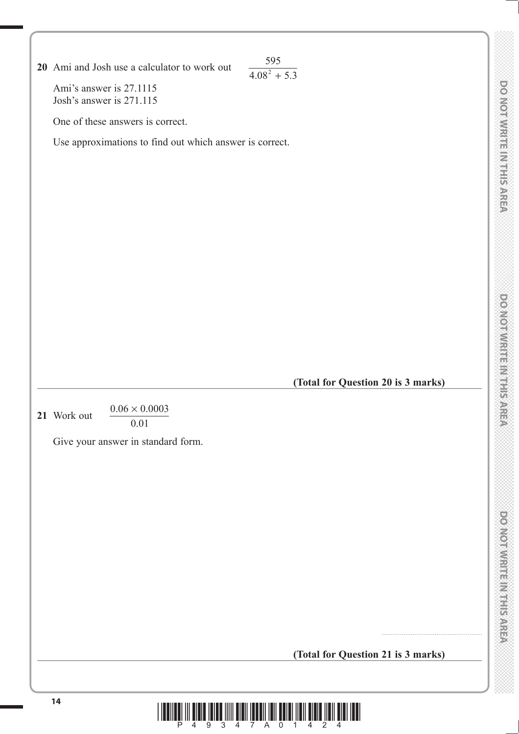| 20 Ami and Josh use a calculator to work out            | 595<br>$\frac{1}{4.08^2 + 5.3}$    |
|---------------------------------------------------------|------------------------------------|
| Ami's answer is 27.1115<br>Josh's answer is 271.115     |                                    |
| One of these answers is correct.                        |                                    |
| Use approximations to find out which answer is correct. |                                    |
|                                                         |                                    |
|                                                         |                                    |
|                                                         |                                    |
|                                                         |                                    |
|                                                         |                                    |
|                                                         |                                    |
|                                                         |                                    |
|                                                         |                                    |
|                                                         |                                    |
|                                                         |                                    |
|                                                         |                                    |
|                                                         | (Total for Question 20 is 3 marks) |
|                                                         |                                    |
| $0.06 \times 0.0003$<br>21 Work out<br>$0.01\,$         |                                    |
| Give your answer in standard form.                      |                                    |
|                                                         |                                    |
|                                                         |                                    |

**(Total for Question 21 is 3 marks)**

.......................................................

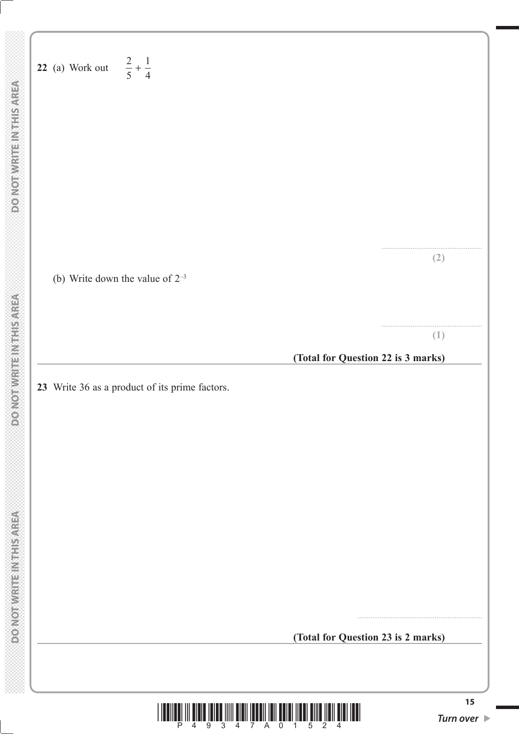|                                           | $rac{2}{5} + \frac{1}{4}$<br>22 (a) Work out   |                                    |
|-------------------------------------------|------------------------------------------------|------------------------------------|
|                                           |                                                |                                    |
|                                           |                                                |                                    |
|                                           |                                                |                                    |
|                                           |                                                |                                    |
| <b>DONOT WRITEIN THIS AREA</b>            |                                                |                                    |
|                                           |                                                |                                    |
|                                           |                                                |                                    |
|                                           |                                                |                                    |
|                                           |                                                |                                    |
|                                           |                                                |                                    |
|                                           |                                                |                                    |
|                                           |                                                |                                    |
|                                           |                                                | (2)                                |
|                                           | (b) Write down the value of $2^{-3}$           |                                    |
|                                           |                                                |                                    |
|                                           |                                                |                                    |
|                                           |                                                |                                    |
|                                           |                                                | (1)                                |
|                                           |                                                | (Total for Question 22 is 3 marks) |
| <b>ONORWATE NATISAREA</b>                 |                                                |                                    |
|                                           | 23 Write 36 as a product of its prime factors. |                                    |
|                                           |                                                |                                    |
| Q                                         |                                                |                                    |
|                                           |                                                |                                    |
|                                           |                                                |                                    |
|                                           |                                                |                                    |
|                                           |                                                |                                    |
|                                           |                                                |                                    |
|                                           |                                                |                                    |
|                                           |                                                |                                    |
|                                           |                                                |                                    |
|                                           |                                                |                                    |
|                                           |                                                |                                    |
|                                           |                                                |                                    |
|                                           |                                                |                                    |
| <b>Market Hammar and More of Contract</b> |                                                |                                    |
|                                           |                                                | (Total for Question 23 is 2 marks) |
|                                           |                                                |                                    |
|                                           |                                                |                                    |
|                                           |                                                |                                    |

 $\frac{1}{2}$   $\frac{1}{4}$   $\frac{1}{9}$   $\frac{1}{3}$   $\frac{1}{4}$   $\frac{1}{7}$   $\frac{1}{6}$   $\frac{1}{2}$   $\frac{1}{4}$   $\frac{1}{5}$   $\frac{1}{2}$   $\frac{1}{4}$   $\frac{1}{4}$   $\frac{1}{2}$   $\frac{1}{4}$   $\frac{1}{2}$   $\frac{1}{4}$   $\frac{1}{2}$   $\frac{1}{4}$   $\frac{1}{2}$   $\frac{1}{4}$   $\frac{1}{2}$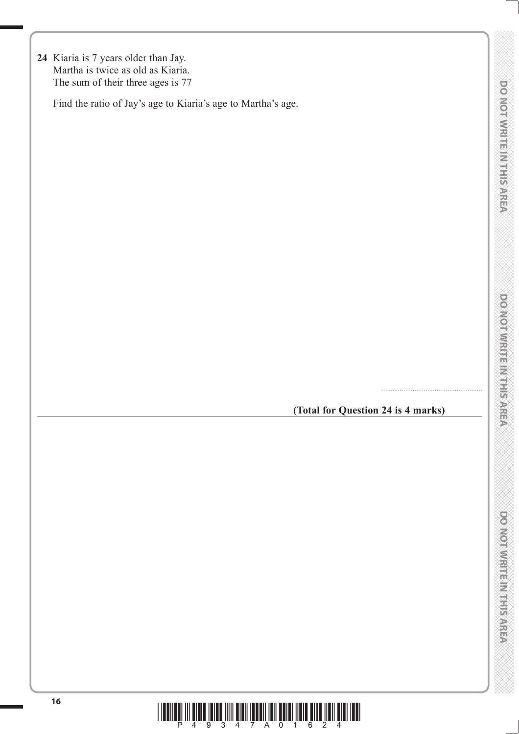DO NOTWRITEINTHIS AREA

**24** Kiaria is 7 years older than Jay. Martha is twice as old as Kiaria. The sum of their three ages is 77

Find the ratio of Jay's age to Kiaria's age to Martha's age.

**(Total for Question 24 is 4 marks)**

.......................................................

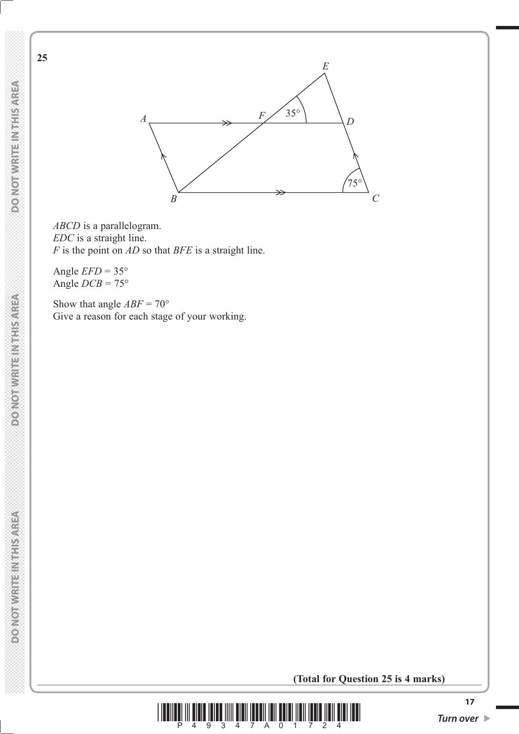DO NOT WRITE IN THIS AREA

**DO NOT WRITEINTHIS AREA** 

**25**



*ABCD* is a parallelogram. *EDC* is a straight line. *F* is the point on *AD* so that *BFE* is a straight line.

Angle  $EFD = 35^\circ$ Angle  $DCB = 75^\circ$ 

Show that angle  $ABF = 70^{\circ}$ Give a reason for each stage of your working.

**(Total for Question 25 is 4 marks)**

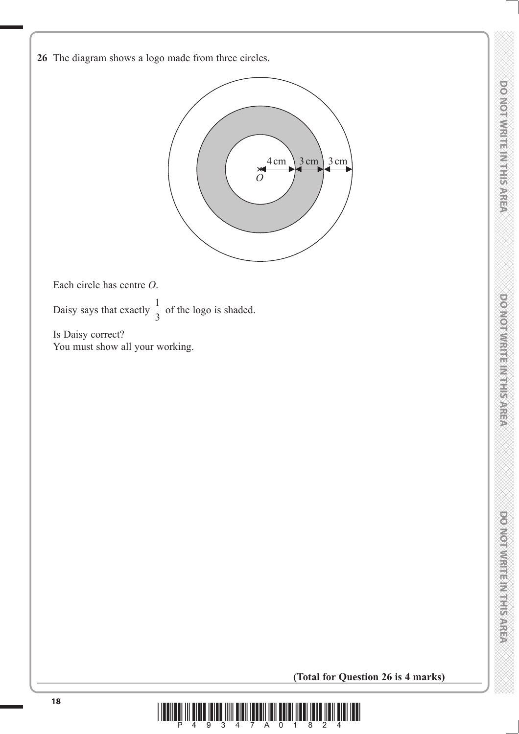*DO NOT WRITE IN THIS AREA DO NOT WRITE IN THIS AREA DO NOT WRITE IN THIS AREA DO NOT WRITE IN THIS AREA DO NOT WRITE IN THIS AREA DO NOT WRITE IN THIS AREA DO NOT WRITE IN THIS AREA DO NOT WRITE IN THIS AREA DO NOT WRITE* DO NOTWRITE IN THIS AREA

**DOMOTIVIRITE INTERNATION** 

ponorwrute material

**26** The diagram shows a logo made from three circles.



Each circle has centre *O*.

Daisy says that exactly  $\frac{1}{2}$ 3 of the logo is shaded.

 Is Daisy correct? You must show all your working.

**(Total for Question 26 is 4 marks)**

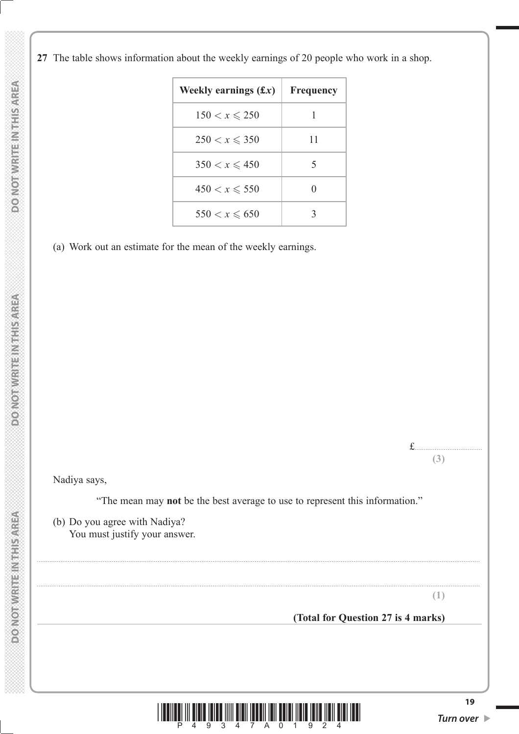**27** The table shows information about the weekly earnings of 20 people who work in a shop.

| Weekly earnings $(f.x)$ | <b>Frequency</b> |
|-------------------------|------------------|
| $150 < x \le 250$       |                  |
| $250 < x \le 350$       | 11               |
| $350 < x \le 450$       | 5                |
| $450 < x \le 550$       |                  |
| $550 < x \le 650$       |                  |

(a) Work out an estimate for the mean of the weekly earnings.

£..................................... **(3)**

Nadiya says,

"The mean may **not** be the best average to use to represent this information."

..................................................................................................................................................................................................................................................

..................................................................................................................................................................................................................................................

 (b) Do you agree with Nadiya? You must justify your answer.

**(1)**

**(Total for Question 27 is 4 marks)**



**PONOSHER HERRICONSONS** 

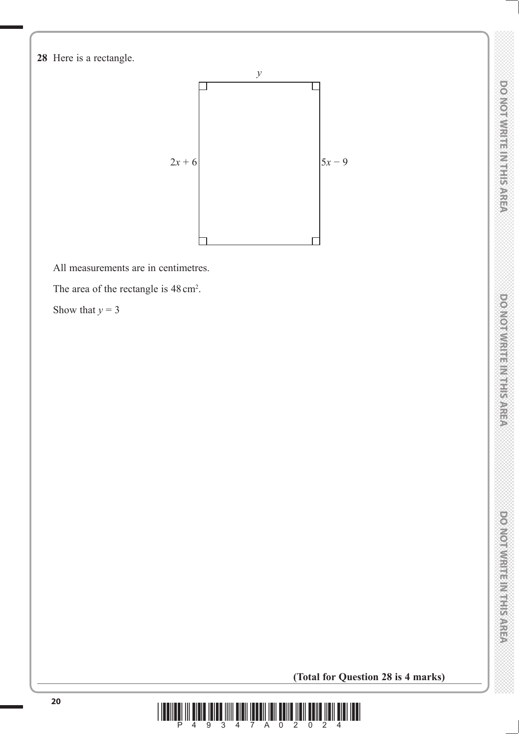**28** Here is a rectangle.



All measurements are in centimetres.

The area of the rectangle is  $48 \text{ cm}^2$ .

Show that  $y = 3$ 

**(Total for Question 28 is 4 marks)**

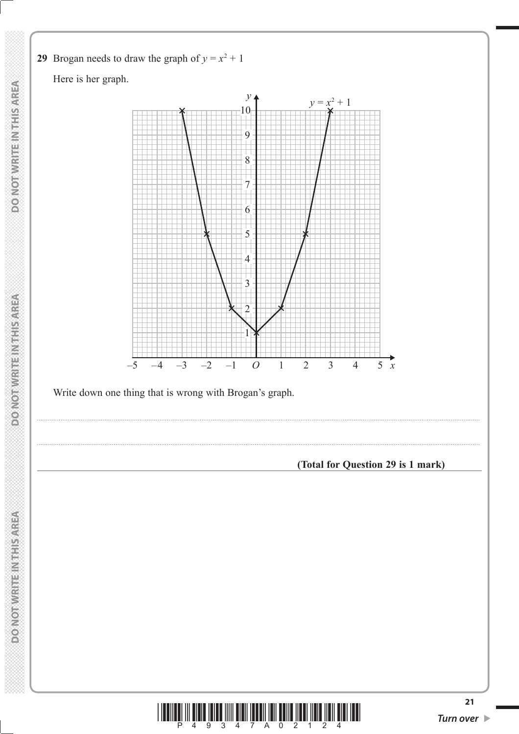**29** Brogan needs to draw the graph of  $y = x^2 + 1$  Here is her graph. 5  $\overline{x}$  $y = x^2 + 1$ 6  $\frac{1}{7}$  $\frac{1}{8}$  $\frac{1}{9}$ 10 5 4 3 2 1 –5 –4 –3 –2 –1 *O* 1 2 3 4 5 Write down one thing that is wrong with Brogan's graph. .................................................................................................................................................................................................................................................. .................................................................................................................................................................................................................................................. **(Total for Question 29 is 1 mark)**



**DO NOT WRITE INTHIS AREA** 

**DONOTWRITEINTHISMREA**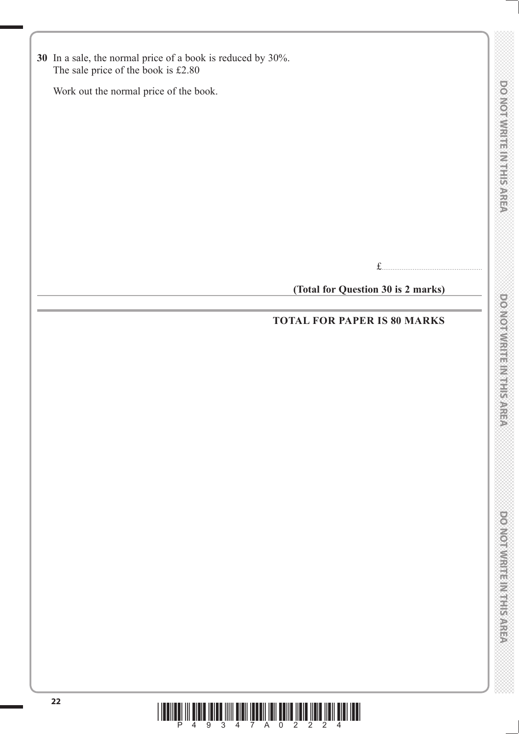| 30 In a sale, the normal price of a book is reduced by 30%.<br>The sale price of the book is £2.80 |                                    |  |
|----------------------------------------------------------------------------------------------------|------------------------------------|--|
| Work out the normal price of the book.                                                             |                                    |  |
|                                                                                                    |                                    |  |
|                                                                                                    |                                    |  |
|                                                                                                    |                                    |  |
|                                                                                                    |                                    |  |
|                                                                                                    |                                    |  |
|                                                                                                    |                                    |  |
|                                                                                                    | $f$                                |  |
|                                                                                                    |                                    |  |
|                                                                                                    | (Total for Question 30 is 2 marks) |  |
|                                                                                                    | <b>TOTAL FOR PAPER IS 80 MARKS</b> |  |
|                                                                                                    |                                    |  |
|                                                                                                    |                                    |  |
|                                                                                                    |                                    |  |
|                                                                                                    |                                    |  |
|                                                                                                    |                                    |  |
|                                                                                                    |                                    |  |
|                                                                                                    |                                    |  |
|                                                                                                    |                                    |  |
|                                                                                                    |                                    |  |
|                                                                                                    |                                    |  |
|                                                                                                    |                                    |  |
|                                                                                                    |                                    |  |
|                                                                                                    |                                    |  |
|                                                                                                    |                                    |  |

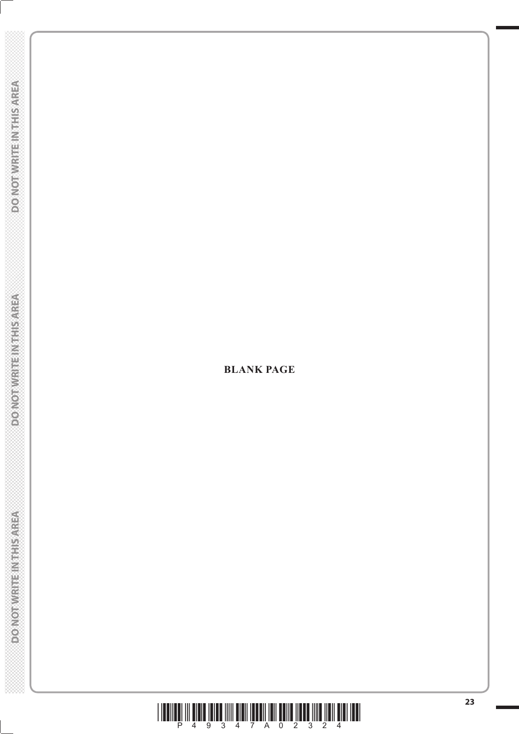**BLANK PAGE**